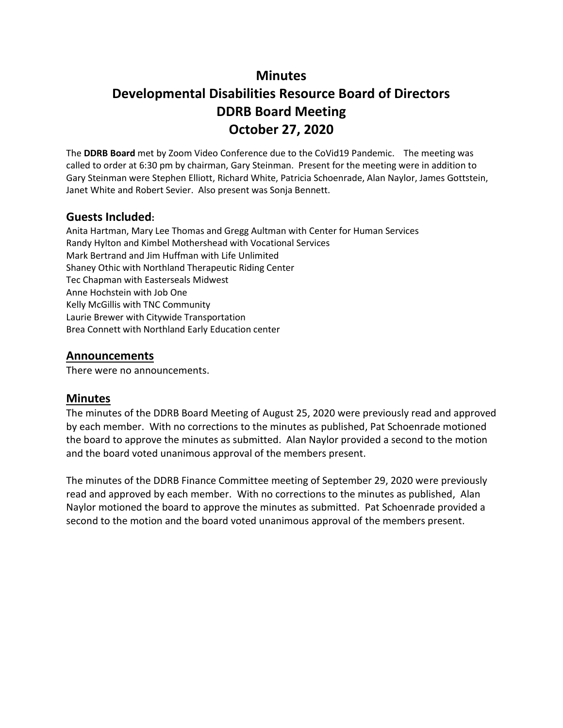# **Minutes**

# **Developmental Disabilities Resource Board of Directors DDRB Board Meeting October 27, 2020**

The **DDRB Board** met by Zoom Video Conference due to the CoVid19 Pandemic. The meeting was called to order at 6:30 pm by chairman, Gary Steinman. Present for the meeting were in addition to Gary Steinman were Stephen Elliott, Richard White, Patricia Schoenrade, Alan Naylor, James Gottstein, Janet White and Robert Sevier. Also present was Sonja Bennett.

### **Guests Included:**

Anita Hartman, Mary Lee Thomas and Gregg Aultman with Center for Human Services Randy Hylton and Kimbel Mothershead with Vocational Services Mark Bertrand and Jim Huffman with Life Unlimited Shaney Othic with Northland Therapeutic Riding Center Tec Chapman with Easterseals Midwest Anne Hochstein with Job One Kelly McGillis with TNC Community Laurie Brewer with Citywide Transportation Brea Connett with Northland Early Education center

### **Announcements**

There were no announcements.

### **Minutes**

The minutes of the DDRB Board Meeting of August 25, 2020 were previously read and approved by each member. With no corrections to the minutes as published, Pat Schoenrade motioned the board to approve the minutes as submitted. Alan Naylor provided a second to the motion and the board voted unanimous approval of the members present.

The minutes of the DDRB Finance Committee meeting of September 29, 2020 were previously read and approved by each member. With no corrections to the minutes as published, Alan Naylor motioned the board to approve the minutes as submitted. Pat Schoenrade provided a second to the motion and the board voted unanimous approval of the members present.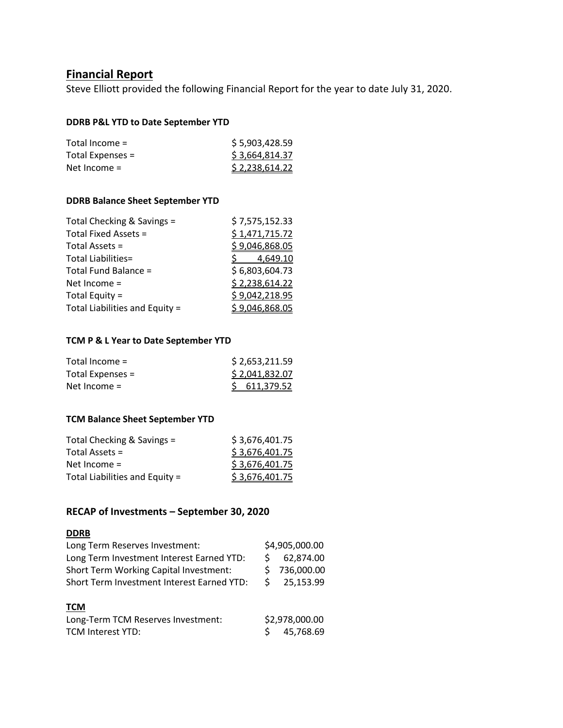### **Financial Report**

Steve Elliott provided the following Financial Report for the year to date July 31, 2020.

#### **DDRB P&L YTD to Date September YTD**

| Total Income $=$ | \$5,903,428.59 |
|------------------|----------------|
| Total Expenses = | \$3,664,814.37 |
| Net Income $=$   | \$2,238,614.22 |

#### **DDRB Balance Sheet September YTD**

| Total Checking & Savings =     | \$7,575,152.33 |
|--------------------------------|----------------|
| Total Fixed Assets =           | \$1,471,715.72 |
| Total Assets =                 | \$9,046,868.05 |
| Total Liabilities=             | 4,649.10       |
| Total Fund Balance =           | \$6,803,604.73 |
| Net Income $=$                 | \$2,238,614.22 |
| Total Equity =                 | \$9,042,218.95 |
| Total Liabilities and Equity = | \$9,046,868.05 |

#### **TCM P & L Year to Date September YTD**

| Total Income $=$ | \$2,653,211.59 |  |  |
|------------------|----------------|--|--|
| Total Expenses = | \$2,041,832.07 |  |  |
| Net Income $=$   | \$611,379.52   |  |  |

#### **TCM Balance Sheet September YTD**

| Total Checking & Savings =     | \$3,676,401.75 |
|--------------------------------|----------------|
| Total Assets =                 | \$3,676,401.75 |
| Net Income $=$                 | \$3,676,401.75 |
| Total Liabilities and Equity = | \$3,676,401.75 |
|                                |                |

#### **RECAP of Investments – September 30, 2020**

#### **DDRB**

| Long Term Reserves Investment:             |  | \$4,905,000.00 |  |  |
|--------------------------------------------|--|----------------|--|--|
| Long Term Investment Interest Earned YTD:  |  | 62,874.00      |  |  |
| Short Term Working Capital Investment:     |  | 736,000.00     |  |  |
| Short Term Investment Interest Earned YTD: |  | 25,153.99      |  |  |
|                                            |  |                |  |  |
| <b>TCM</b>                                 |  |                |  |  |
| Long-Term TCM Reserves Investment:         |  | \$2,978,000.00 |  |  |
| <b>TCM Interest YTD:</b>                   |  | 45,768.69      |  |  |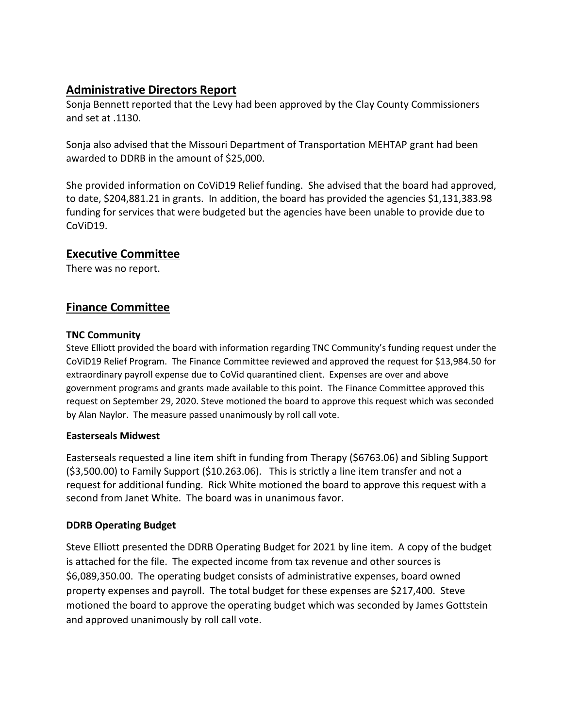# **Administrative Directors Report**

Sonja Bennett reported that the Levy had been approved by the Clay County Commissioners and set at .1130.

Sonja also advised that the Missouri Department of Transportation MEHTAP grant had been awarded to DDRB in the amount of \$25,000.

She provided information on CoViD19 Relief funding. She advised that the board had approved, to date, \$204,881.21 in grants. In addition, the board has provided the agencies \$1,131,383.98 funding for services that were budgeted but the agencies have been unable to provide due to CoViD19.

## **Executive Committee**

There was no report.

# **Finance Committee**

#### **TNC Community**

Steve Elliott provided the board with information regarding TNC Community's funding request under the CoViD19 Relief Program. The Finance Committee reviewed and approved the request for \$13,984.50 for extraordinary payroll expense due to CoVid quarantined client. Expenses are over and above government programs and grants made available to this point. The Finance Committee approved this request on September 29, 2020. Steve motioned the board to approve this request which was seconded by Alan Naylor. The measure passed unanimously by roll call vote.

#### **Easterseals Midwest**

Easterseals requested a line item shift in funding from Therapy (\$6763.06) and Sibling Support (\$3,500.00) to Family Support (\$10.263.06). This is strictly a line item transfer and not a request for additional funding. Rick White motioned the board to approve this request with a second from Janet White. The board was in unanimous favor.

#### **DDRB Operating Budget**

Steve Elliott presented the DDRB Operating Budget for 2021 by line item. A copy of the budget is attached for the file. The expected income from tax revenue and other sources is \$6,089,350.00. The operating budget consists of administrative expenses, board owned property expenses and payroll. The total budget for these expenses are \$217,400. Steve motioned the board to approve the operating budget which was seconded by James Gottstein and approved unanimously by roll call vote.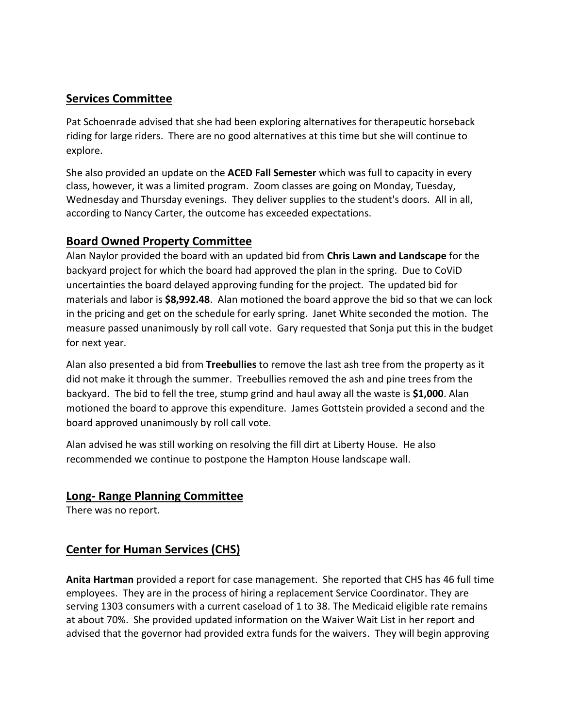### **Services Committee**

Pat Schoenrade advised that she had been exploring alternatives for therapeutic horseback riding for large riders. There are no good alternatives at this time but she will continue to explore.

She also provided an update on the **ACED Fall Semester** which was full to capacity in every class, however, it was a limited program. Zoom classes are going on Monday, Tuesday, Wednesday and Thursday evenings. They deliver supplies to the student's doors. All in all, according to Nancy Carter, the outcome has exceeded expectations.

## **Board Owned Property Committee**

Alan Naylor provided the board with an updated bid from **Chris Lawn and Landscape** for the backyard project for which the board had approved the plan in the spring. Due to CoViD uncertainties the board delayed approving funding for the project. The updated bid for materials and labor is **\$8,992.48**. Alan motioned the board approve the bid so that we can lock in the pricing and get on the schedule for early spring. Janet White seconded the motion. The measure passed unanimously by roll call vote. Gary requested that Sonja put this in the budget for next year.

Alan also presented a bid from **Treebullies** to remove the last ash tree from the property as it did not make it through the summer. Treebullies removed the ash and pine trees from the backyard. The bid to fell the tree, stump grind and haul away all the waste is **\$1,000**. Alan motioned the board to approve this expenditure. James Gottstein provided a second and the board approved unanimously by roll call vote.

Alan advised he was still working on resolving the fill dirt at Liberty House. He also recommended we continue to postpone the Hampton House landscape wall.

# **Long- Range Planning Committee**

There was no report.

# **Center for Human Services (CHS)**

**Anita Hartman** provided a report for case management. She reported that CHS has 46 full time employees. They are in the process of hiring a replacement Service Coordinator. They are serving 1303 consumers with a current caseload of 1 to 38. The Medicaid eligible rate remains at about 70%. She provided updated information on the Waiver Wait List in her report and advised that the governor had provided extra funds for the waivers. They will begin approving